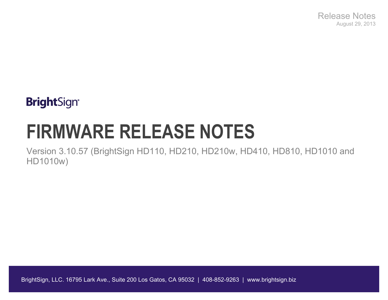Release Notes August 29, 2013

## **BrightSign®**

# **FIRMWARE RELEASE NOTES**

Version 3.10.57 (BrightSign HD110, HD210, HD210w, HD410, HD810, HD1010 and HD1010w)

BrightSign, LLC. 16795 Lark Ave., Suite 200 Los Gatos, CA 95032 | 408-852-9263 | www.brightsign.biz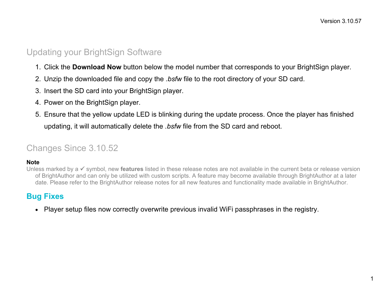#### Updating your BrightSign Software

- 1. Click the **Download Now** button below the model number that corresponds to your BrightSign player.
- 2. Unzip the downloaded file and copy the *.bsfw* file to the root directory of your SD card.
- 3. Insert the SD card into your BrightSign player.
- 4. Power on the BrightSign player.
- 5. Ensure that the yellow update LED is blinking during the update process. Once the player has finished updating, it will automatically delete the *.bsfw* file from the SD card and reboot.

### Changes Since 3.10.52

#### **Note**

Unless marked by a  $\checkmark$  symbol, new **features** listed in these release notes are not available in the current beta or release version of BrightAuthor and can only be utilized with custom scripts. A feature may become available through BrightAuthor at a later date. Please refer to the BrightAuthor release notes for all new features and functionality made available in BrightAuthor.

#### **Bug Fixes**

• Player setup files now correctly overwrite previous invalid WiFi passphrases in the registry.